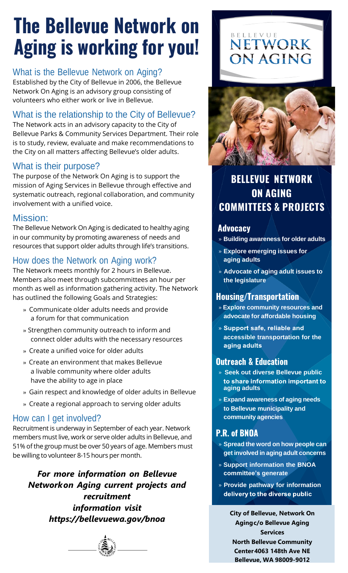# **The Bellevue Network on Aging is working for you!**

### What is the Bellevue Network on Aging?

Established by the City of Bellevue in 2006, the Bellevue Network On Aging is an advisory group consisting of volunteers who either work or live in Bellevue.

### What is the relationship to the City of Bellevue?

The Network acts in an advisory capacity to the City of Bellevue Parks & Community Services Department. Their role is to study, review, evaluate and make recommendations to the City on all matters affecting Bellevue's older adults.

### What is their purpose?

The purpose of the Network On Aging is to support the mission of Aging Services in Bellevue through effective and systematic outreach, regional collaboration, and community involvement with a unified voice.

### Mission:

The Bellevue Network On Aging is dedicated to healthy aging in our community by promoting awareness of needs and resources that support older adults through life's transitions.

### How does the Network on Aging work?

The Network meets monthly for 2 hours in Bellevue. Members also meet through subcommittees an hour per month as well as information gathering activity. The Network has outlined the following Goals and Strategies:

- » Communicate older adults needs and provide a forum for that communication
- » Strengthen community outreach to inform and connect older adults with the necessary resources
- » Create a unified voice for older adults
- » Create an environment that makes Bellevue a livable community where older adults have the ability to age in place
- » Gain respect and knowledge of older adults in Bellevue
- » Create a regional approach to serving older adults

### How can I get involved?

Recruitment is underway in September of each year. Network members must live, work or serve older adults in Bellevue, and 51% of the group must be over 50 years of age. Members must be willing to volunteer 8-15 hours per month.

*For more information on Bellevue Networkon Aging current projects and recruitment information visit https://bellevuewa.gov/bnoa*



## BELLEVUE<br>NETWORK ON AGING



### **BELLEVUE NETWORK ON AGING COMMITTEES & PROJECTS**

#### **Advocacy**

- » **Building awareness for older adults**
- » **Explore emerging issues for aging adults**
- » **Advocate of aging adult issues to the legislature**

### **Housing/Transportation**

- » **Explore community resources and advocate for affordable housing**
- » Support safe, reliable and **accessible transportation for the** aging adults

### **Outreach & Education**

- » **Seek out diverse Bellevue public** to share information important to **aging adults**
- » **Expand awareness of aging needs to Bellevue municipality and community agencies**

### **P.R. of BNOA**

- » **Spread the word on how people can get involved in aging adult concerns**
- » **Support information the BNOA committee's generate**
- » **Provide pathway for information**delivery to the diverse public
	- **City of Bellevue, Network On Agingc/o Bellevue Aging Services North Bellevue Community Center4063 148th Ave NE Bellevue, WA 98009-9012**